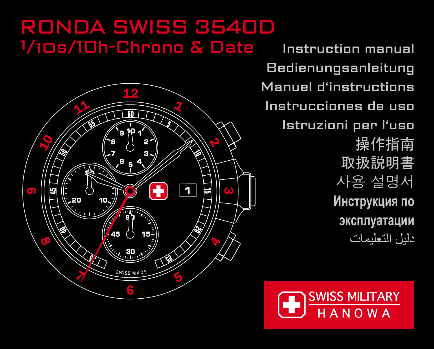# **RONDA SWISS 3540D** 1/10s/10h-Chrono & Date



Instruction manual Bedienungsanleitung Manuel d'instructions Instrucciones de uso Istruzioni per l'uso 操作指南 取扱説明書 사용 설명서 Инструкция по эксплуатации دليل التعليمات

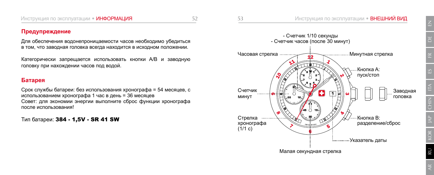## Предупреждение

Для обеспечения водонепроницаемости часов необходимо убедиться в том, что заводная головка всегда находится в исходном положении.

Категорически запрещается использовать кнопки A/B и заводную головку при нахождении часов под водой.

## Батарея

Срок службы батареи: без использования хронографа = 54 месяцев, с использованием хронографа 1 час в день = 36 месяцев Совет: для экономии энергии выполните сброс функции хронографа после использования!

Тип батареи: 384 - 1,5V - SR 41 SW



JAP

KOR

RU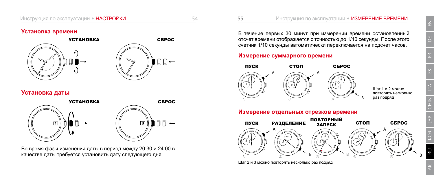## **Установка времени**





## **Установка даты**





Во время фазы изменения даты в период между 20:30 и 24:00 в качестве даты требуется установить дату следующего дня.

В течение первых 30 минут при измерении времени остановленный отсчет времени отображается с точностью до 1/10 секунды. После этого счетчик 1/10 секунды автоматически переключается на подсчет часов.

## **Измерение суммарного времени**





Инструкция по эксплуатации • ИЗМЕРЕНИЕ ВРЕМЕНИ

 $II$ l 2 и 2 можно повторять несколько раз подряд

#### Измерение отдельных отрезков времени



Шаг 2 и 3 можно повторять несколько раз подряд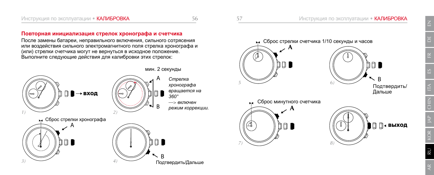#### Повторная инициализация стрелок хронографа и счетчика

После замены батареи, неправильного включения, сильного сотрясения или воздействия сильного электромагнитного поля стрелка хронографа и (или) стрелки счетчика могут не вернуться в исходное положение. Выполните следующие действия для калибровки этих стрелок:



мин. 2 секунды

 $\Longrightarrow$  включен  $p$ ежим коррекции.





Подтвердить/ Дальше

 $\Xi^-$ 

*5*